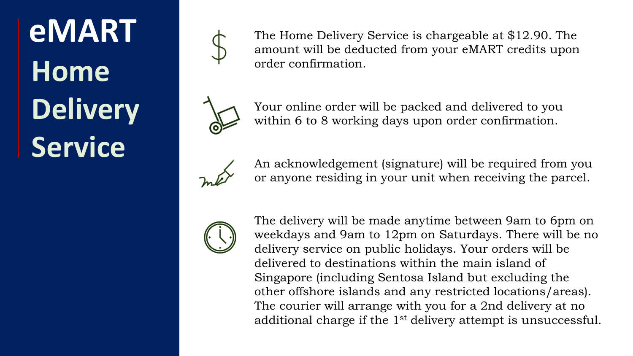## **eMART Home Delivery Service**



The Home Delivery Service is chargeable at \$12.90. The amount will be deducted from your eMART credits upon order confirmation.



Your online order will be packed and delivered to you within 6 to 8 working days upon order confirmation.



An acknowledgement (signature) will be required from you or anyone residing in your unit when receiving the parcel.



The delivery will be made anytime between 9am to 6pm on weekdays and 9am to 12pm on Saturdays. There will be no delivery service on public holidays. Your orders will be delivered to destinations within the main island of Singapore (including Sentosa Island but excluding the other offshore islands and any restricted locations/areas). The courier will arrange with you for a 2nd delivery at no additional charge if the 1st delivery attempt is unsuccessful.